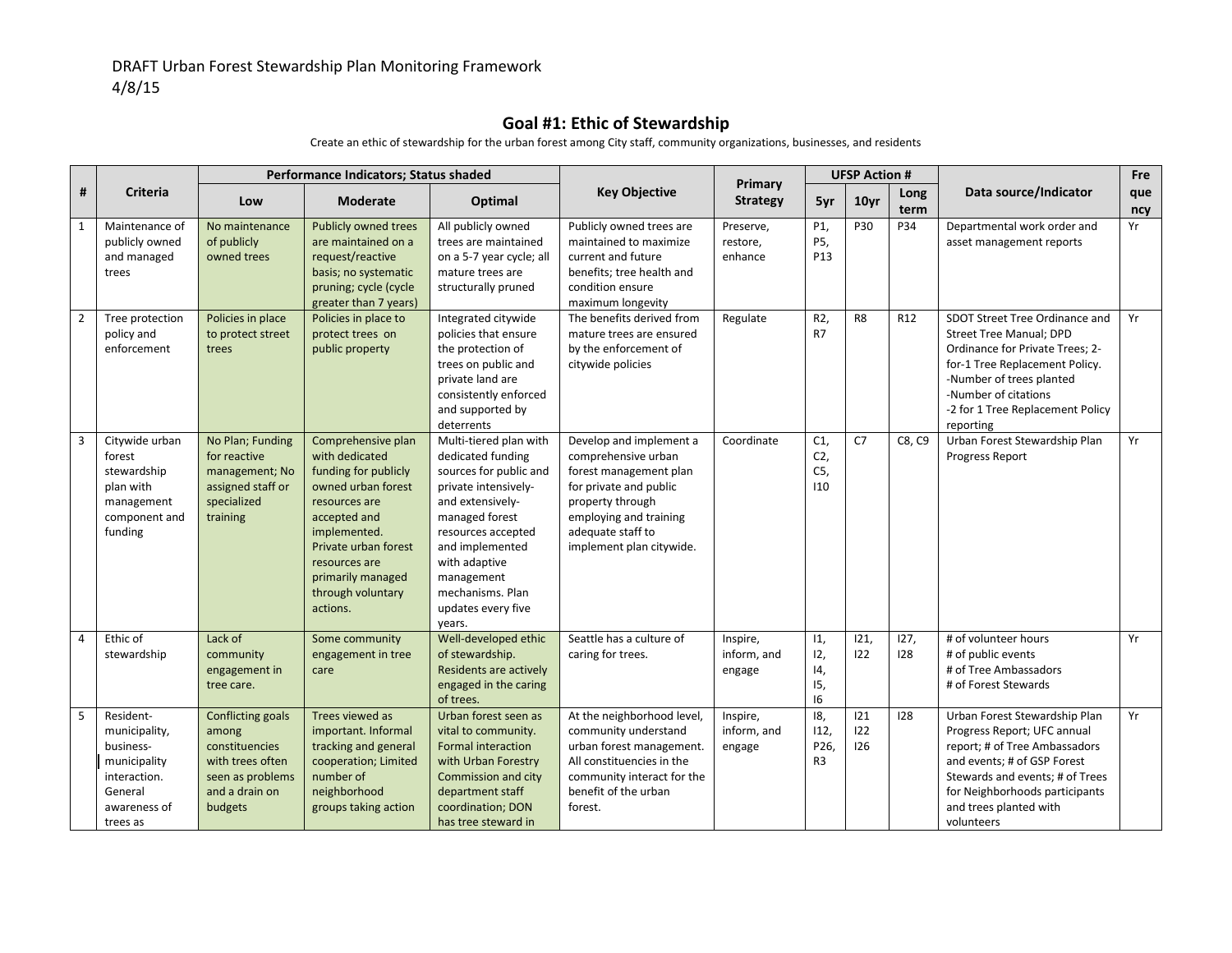## **Goal #1: Ethic of Stewardship**

|                |                                                                                                                | Performance Indicators; Status shaded                                                                                    |                                                                                                                                                                                                                                    |                                                                                                                                                                                                                                                                 |                                                                                                                                                                                                   | Primary                           | <b>UFSP Action #</b>                           |                   |                 |                                                                                                                                                                                                                                            | Fre        |
|----------------|----------------------------------------------------------------------------------------------------------------|--------------------------------------------------------------------------------------------------------------------------|------------------------------------------------------------------------------------------------------------------------------------------------------------------------------------------------------------------------------------|-----------------------------------------------------------------------------------------------------------------------------------------------------------------------------------------------------------------------------------------------------------------|---------------------------------------------------------------------------------------------------------------------------------------------------------------------------------------------------|-----------------------------------|------------------------------------------------|-------------------|-----------------|--------------------------------------------------------------------------------------------------------------------------------------------------------------------------------------------------------------------------------------------|------------|
| #              | <b>Criteria</b>                                                                                                | Low                                                                                                                      | <b>Moderate</b>                                                                                                                                                                                                                    | Optimal                                                                                                                                                                                                                                                         | <b>Key Objective</b>                                                                                                                                                                              | <b>Strategy</b>                   | 5yr                                            | 10 <sub>yr</sub>  | Long<br>term    | Data source/Indicator                                                                                                                                                                                                                      | que<br>ncy |
| $\mathbf{1}$   | Maintenance of<br>publicly owned<br>and managed<br>trees                                                       | No maintenance<br>of publicly<br>owned trees                                                                             | <b>Publicly owned trees</b><br>are maintained on a<br>request/reactive<br>basis; no systematic<br>pruning; cycle (cycle<br>greater than 7 years)                                                                                   | All publicly owned<br>trees are maintained<br>on a 5-7 year cycle; all<br>mature trees are<br>structurally pruned                                                                                                                                               | Publicly owned trees are<br>maintained to maximize<br>current and future<br>benefits; tree health and<br>condition ensure<br>maximum longevity                                                    | Preserve,<br>restore,<br>enhance  | P1,<br>P5,<br>P <sub>13</sub>                  | P30               | P34             | Departmental work order and<br>asset management reports                                                                                                                                                                                    | Yr         |
| $\overline{2}$ | Tree protection<br>policy and<br>enforcement                                                                   | Policies in place<br>to protect street<br>trees                                                                          | Policies in place to<br>protect trees on<br>public property                                                                                                                                                                        | Integrated citywide<br>policies that ensure<br>the protection of<br>trees on public and<br>private land are<br>consistently enforced<br>and supported by<br>deterrents                                                                                          | The benefits derived from<br>mature trees are ensured<br>by the enforcement of<br>citywide policies                                                                                               | Regulate                          | R2,<br>R7                                      | R <sub>8</sub>    | R <sub>12</sub> | SDOT Street Tree Ordinance and<br><b>Street Tree Manual; DPD</b><br>Ordinance for Private Trees; 2-<br>for-1 Tree Replacement Policy.<br>-Number of trees planted<br>-Number of citations<br>-2 for 1 Tree Replacement Policy<br>reporting | Yr         |
| 3              | Citywide urban<br>forest<br>stewardship<br>plan with<br>management<br>component and<br>funding                 | No Plan; Funding<br>for reactive<br>management; No<br>assigned staff or<br>specialized<br>training                       | Comprehensive plan<br>with dedicated<br>funding for publicly<br>owned urban forest<br>resources are<br>accepted and<br>implemented.<br>Private urban forest<br>resources are<br>primarily managed<br>through voluntary<br>actions. | Multi-tiered plan with<br>dedicated funding<br>sources for public and<br>private intensively-<br>and extensively-<br>managed forest<br>resources accepted<br>and implemented<br>with adaptive<br>management<br>mechanisms. Plan<br>updates every five<br>years. | Develop and implement a<br>comprehensive urban<br>forest management plan<br>for private and public<br>property through<br>employing and training<br>adequate staff to<br>implement plan citywide. | Coordinate                        | C <sub>1</sub><br>C <sub>2</sub><br>C5,<br>110 | C7                | C8, C9          | Urban Forest Stewardship Plan<br>Progress Report                                                                                                                                                                                           | Yr         |
| $\overline{4}$ | Ethic of<br>stewardship                                                                                        | Lack of<br>community<br>engagement in<br>tree care.                                                                      | Some community<br>engagement in tree<br>care                                                                                                                                                                                       | Well-developed ethic<br>of stewardship.<br>Residents are actively<br>engaged in the caring<br>of trees.                                                                                                                                                         | Seattle has a culture of<br>caring for trees.                                                                                                                                                     | Inspire,<br>inform, and<br>engage | 11,<br>12,<br>14,<br>15,<br>16                 | 121,<br>122       | 127,<br>128     | # of volunteer hours<br># of public events<br># of Tree Ambassadors<br># of Forest Stewards                                                                                                                                                | Yr         |
| 5              | Resident-<br>municipality,<br>business-<br>municipality<br>interaction.<br>General<br>awareness of<br>trees as | <b>Conflicting goals</b><br>among<br>constituencies<br>with trees often<br>seen as problems<br>and a drain on<br>budgets | Trees viewed as<br>important. Informal<br>tracking and general<br>cooperation; Limited<br>number of<br>neighborhood<br>groups taking action                                                                                        | Urban forest seen as<br>vital to community.<br>Formal interaction<br>with Urban Forestry<br>Commission and city<br>department staff<br>coordination; DON<br>has tree steward in                                                                                 | At the neighborhood level,<br>community understand<br>urban forest management.<br>All constituencies in the<br>community interact for the<br>benefit of the urban<br>forest.                      | Inspire,<br>inform, and<br>engage | 18,<br>112,<br>P26<br>R <sub>3</sub>           | 121<br>122<br>126 | 128             | Urban Forest Stewardship Plan<br>Progress Report; UFC annual<br>report; # of Tree Ambassadors<br>and events; # of GSP Forest<br>Stewards and events; # of Trees<br>for Neighborhoods participants<br>and trees planted with<br>volunteers  | Yr         |

Create an ethic of stewardship for the urban forest among City staff, community organizations, businesses, and residents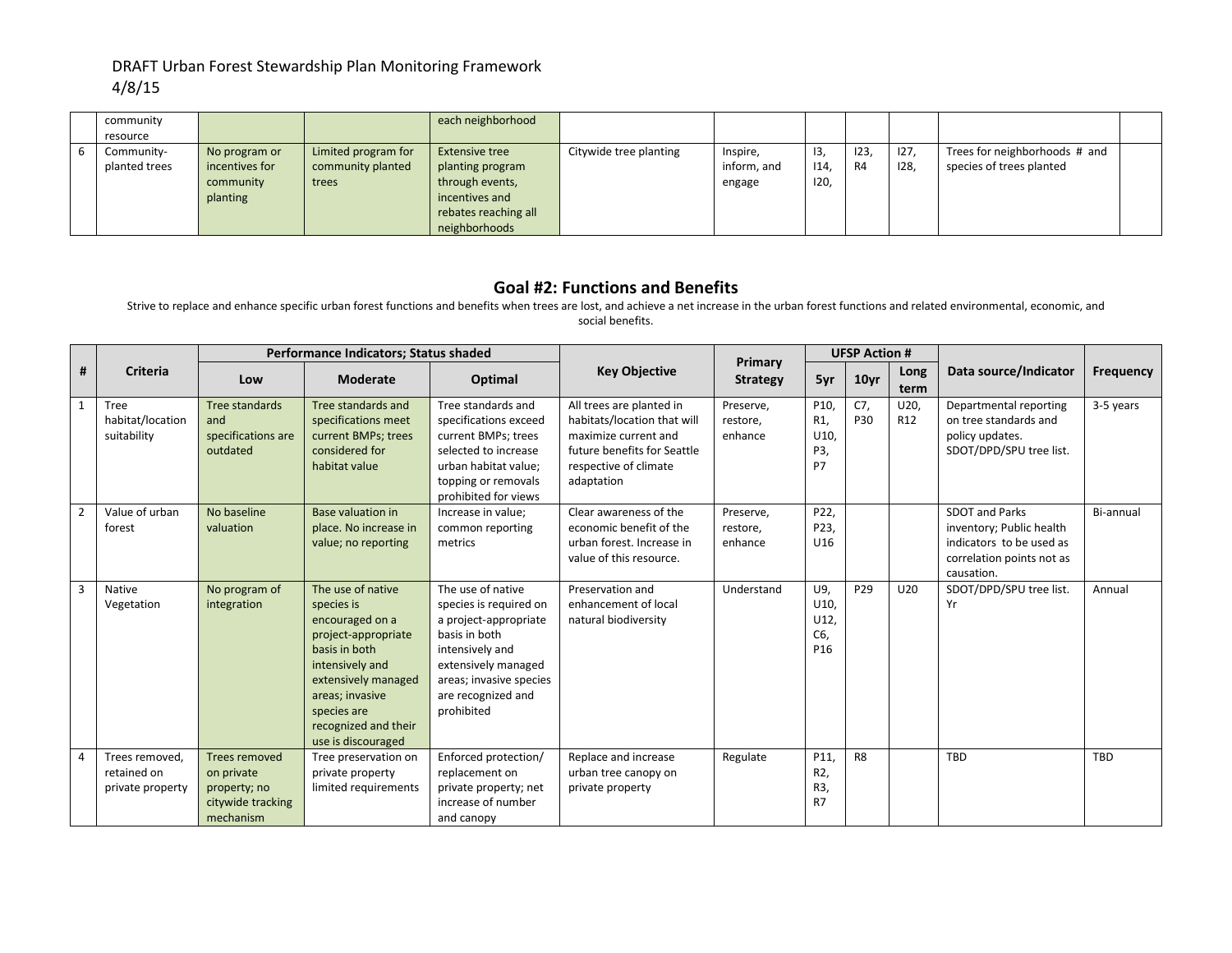#### DRAFT Urban Forest Stewardship Plan Monitoring Framework 4/8/15

| community     |                |                     | each neighborhood     |                        |             |      |                |      |                               |  |
|---------------|----------------|---------------------|-----------------------|------------------------|-------------|------|----------------|------|-------------------------------|--|
| resource      |                |                     |                       |                        |             |      |                |      |                               |  |
| Community-    | No program or  | Limited program for | <b>Extensive tree</b> | Citywide tree planting | Inspire,    | -13, | 123,           | 127, | Trees for neighborhoods # and |  |
| planted trees | incentives for | community planted   | planting program      |                        | inform, and | 14   | R <sub>4</sub> | 128, | species of trees planted      |  |
|               | community      | trees               | through events,       |                        | engage      | 120, |                |      |                               |  |
|               | planting       |                     | incentives and        |                        |             |      |                |      |                               |  |
|               |                |                     | rebates reaching all  |                        |             |      |                |      |                               |  |
|               |                |                     | neighborhoods         |                        |             |      |                |      |                               |  |

#### **Goal #2: Functions and Benefits**

Strive to replace and enhance specific urban forest functions and benefits when trees are lost, and achieve a net increase in the urban forest functions and related environmental, economic, and social benefits.

|                                                                                                                                                                   |                                                   |                                                                                      | Performance Indicators; Status shaded<br><b>UFSP Action #</b><br>Primary                                                                                                                                             |                                                                                                                                                                                                |                                                                                                                                                       |                                  |                                             |                 |                         |                                                                                                                          |                  |
|-------------------------------------------------------------------------------------------------------------------------------------------------------------------|---------------------------------------------------|--------------------------------------------------------------------------------------|----------------------------------------------------------------------------------------------------------------------------------------------------------------------------------------------------------------------|------------------------------------------------------------------------------------------------------------------------------------------------------------------------------------------------|-------------------------------------------------------------------------------------------------------------------------------------------------------|----------------------------------|---------------------------------------------|-----------------|-------------------------|--------------------------------------------------------------------------------------------------------------------------|------------------|
| <b>Criteria</b><br>#<br>$\mathbf{1}$<br><b>Tree</b><br>habitat/location<br>suitability<br>Value of urban<br>$\overline{2}$<br>forest<br>3<br>Native<br>Vegetation | Low                                               | <b>Moderate</b>                                                                      | Optimal                                                                                                                                                                                                              | <b>Key Objective</b>                                                                                                                                                                           | <b>Strategy</b>                                                                                                                                       | 5yr                              | 10 <sub>yr</sub>                            | Long<br>term    | Data source/Indicator   | Frequency                                                                                                                |                  |
|                                                                                                                                                                   |                                                   | Tree standards<br>and<br>specifications are<br>outdated                              | Tree standards and<br>specifications meet<br>current BMPs; trees<br>considered for<br>habitat value                                                                                                                  | Tree standards and<br>specifications exceed<br>current BMPs; trees<br>selected to increase<br>urban habitat value;<br>topping or removals<br>prohibited for views                              | All trees are planted in<br>habitats/location that will<br>maximize current and<br>future benefits for Seattle<br>respective of climate<br>adaptation | Preserve,<br>restore,<br>enhance | P10,<br>R <sub>1</sub><br>U10<br>P3,<br>P7  | C7,<br>P30      | U20,<br>R <sub>12</sub> | Departmental reporting<br>on tree standards and<br>policy updates.<br>SDOT/DPD/SPU tree list.                            | 3-5 years        |
|                                                                                                                                                                   |                                                   | No baseline<br>valuation                                                             | Base valuation in<br>place. No increase in<br>value; no reporting                                                                                                                                                    | Increase in value:<br>common reporting<br>metrics                                                                                                                                              | Clear awareness of the<br>economic benefit of the<br>urban forest. Increase in<br>value of this resource.                                             | Preserve,<br>restore,<br>enhance | P22,<br>P23,<br>U16                         |                 |                         | <b>SDOT and Parks</b><br>inventory; Public health<br>indicators to be used as<br>correlation points not as<br>causation. | <b>Bi-annual</b> |
|                                                                                                                                                                   |                                                   | No program of<br>integration                                                         | The use of native<br>species is<br>encouraged on a<br>project-appropriate<br>basis in both<br>intensively and<br>extensively managed<br>areas; invasive<br>species are<br>recognized and their<br>use is discouraged | The use of native<br>species is required on<br>a project-appropriate<br>basis in both<br>intensively and<br>extensively managed<br>areas; invasive species<br>are recognized and<br>prohibited | Preservation and<br>enhancement of local<br>natural biodiversity                                                                                      | Understand                       | U9,<br>U10<br>U12<br>C6,<br>P <sub>16</sub> | P <sub>29</sub> | U20                     | SDOT/DPD/SPU tree list.<br>Yr                                                                                            | Annual           |
| 4                                                                                                                                                                 | Trees removed,<br>retained on<br>private property | <b>Trees removed</b><br>on private<br>property; no<br>citywide tracking<br>mechanism | Tree preservation on<br>private property<br>limited requirements                                                                                                                                                     | Enforced protection/<br>replacement on<br>private property; net<br>increase of number<br>and canopy                                                                                            | Replace and increase<br>urban tree canopy on<br>private property                                                                                      | Regulate                         | P11,<br>R2,<br>R3,<br><b>R7</b>             | R <sub>8</sub>  |                         | <b>TBD</b>                                                                                                               | <b>TBD</b>       |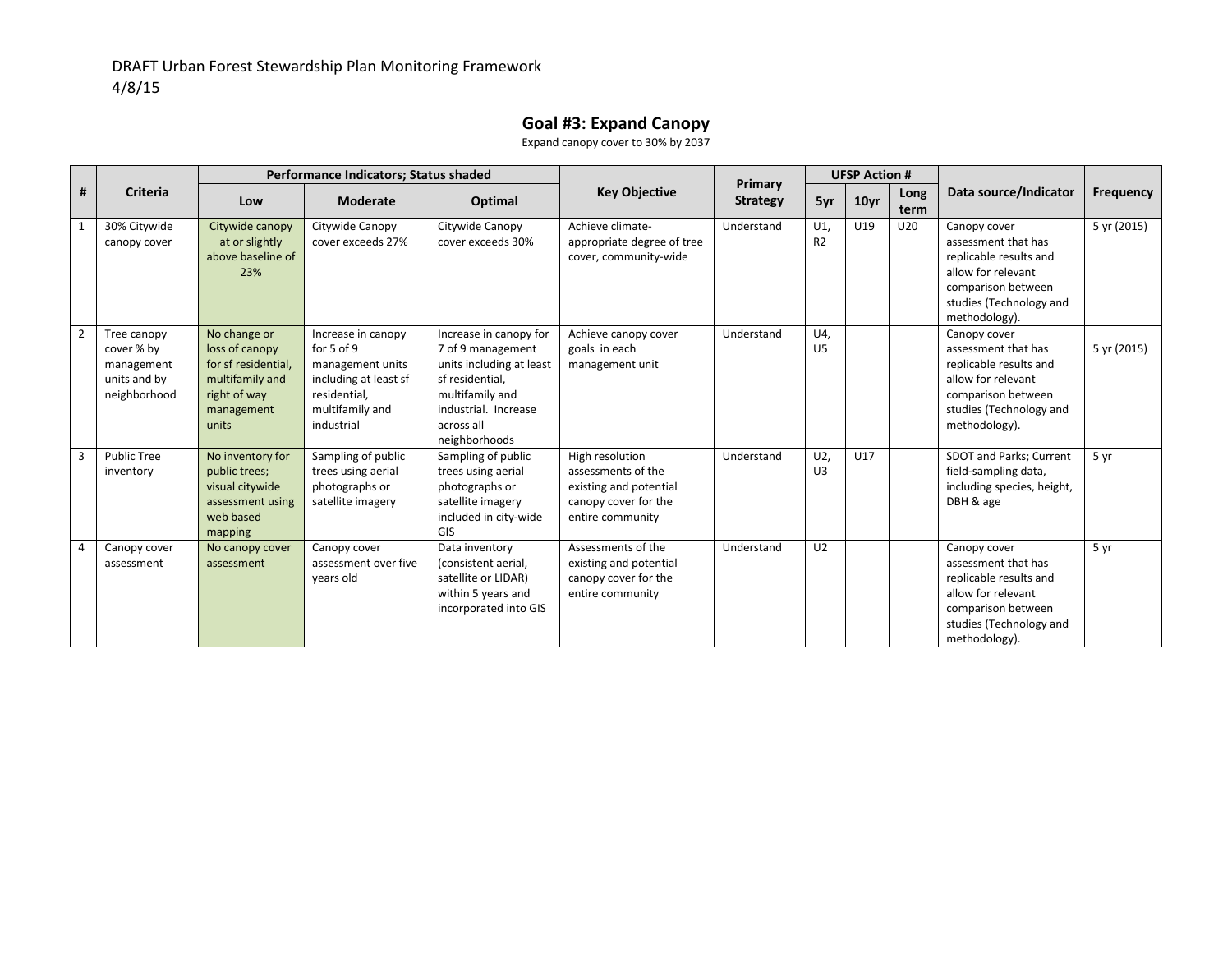# **Goal #3: Expand Canopy**

Expand canopy cover to 30% by 2037

|                |                                                                         | Performance Indicators; Status shaded<br><b>UFSP Action #</b><br>Primary                                        |                                                                                                                                    |                                                                                                                                                                      |                                                                                                             |                 |                       |                  |              |                                                                                                                                                       |                  |
|----------------|-------------------------------------------------------------------------|-----------------------------------------------------------------------------------------------------------------|------------------------------------------------------------------------------------------------------------------------------------|----------------------------------------------------------------------------------------------------------------------------------------------------------------------|-------------------------------------------------------------------------------------------------------------|-----------------|-----------------------|------------------|--------------|-------------------------------------------------------------------------------------------------------------------------------------------------------|------------------|
| #              | <b>Criteria</b>                                                         | Low                                                                                                             | <b>Moderate</b>                                                                                                                    | Optimal                                                                                                                                                              | <b>Key Objective</b>                                                                                        | <b>Strategy</b> | 5yr                   | 10 <sub>yr</sub> | Long<br>term | Data source/Indicator                                                                                                                                 | <b>Frequency</b> |
|                | 30% Citywide<br>canopy cover                                            | Citywide canopy<br>at or slightly<br>above baseline of<br>23%                                                   | Citywide Canopy<br>cover exceeds 27%                                                                                               | Citywide Canopy<br>cover exceeds 30%                                                                                                                                 | Achieve climate-<br>appropriate degree of tree<br>cover, community-wide                                     | Understand      | U1<br>R <sub>2</sub>  | U19              | U20          | Canopy cover<br>assessment that has<br>replicable results and<br>allow for relevant<br>comparison between<br>studies (Technology and<br>methodology). | 5 yr (2015)      |
| $\overline{2}$ | Tree canopy<br>cover % by<br>management<br>units and by<br>neighborhood | No change or<br>loss of canopy<br>for sf residential,<br>multifamily and<br>right of way<br>management<br>units | Increase in canopy<br>for $5$ of $9$<br>management units<br>including at least sf<br>residential,<br>multifamily and<br>industrial | Increase in canopy for<br>7 of 9 management<br>units including at least<br>sf residential,<br>multifamily and<br>industrial. Increase<br>across all<br>neighborhoods | Achieve canopy cover<br>goals in each<br>management unit                                                    | Understand      | U4,<br>U <sub>5</sub> |                  |              | Canopy cover<br>assessment that has<br>replicable results and<br>allow for relevant<br>comparison between<br>studies (Technology and<br>methodology). | 5 yr (2015)      |
| 3              | <b>Public Tree</b><br>inventory                                         | No inventory for<br>public trees;<br>visual citywide<br>assessment using<br>web based<br>mapping                | Sampling of public<br>trees using aerial<br>photographs or<br>satellite imagery                                                    | Sampling of public<br>trees using aerial<br>photographs or<br>satellite imagery<br>included in city-wide<br>GIS                                                      | High resolution<br>assessments of the<br>existing and potential<br>canopy cover for the<br>entire community | Understand      | U2<br>U3              | U17              |              | SDOT and Parks; Current<br>field-sampling data,<br>including species, height,<br>DBH & age                                                            | 5 yr             |
|                | Canopy cover<br>assessment                                              | No canopy cover<br>assessment                                                                                   | Canopy cover<br>assessment over five<br>years old                                                                                  | Data inventory<br>(consistent aerial,<br>satellite or LIDAR)<br>within 5 years and<br>incorporated into GIS                                                          | Assessments of the<br>existing and potential<br>canopy cover for the<br>entire community                    | Understand      | U <sub>2</sub>        |                  |              | Canopy cover<br>assessment that has<br>replicable results and<br>allow for relevant<br>comparison between<br>studies (Technology and<br>methodology). | 5 yr             |